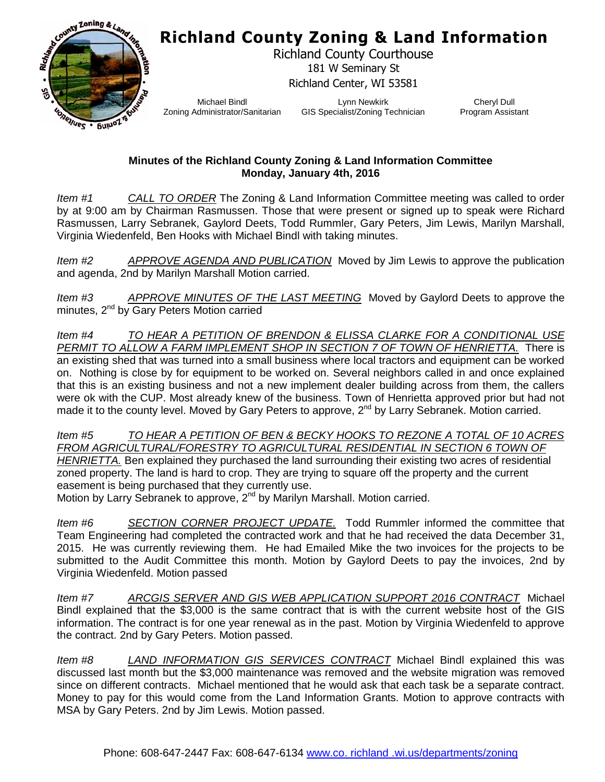## **Richland County Zoning & Land Information**



Richland County Courthouse 181 W Seminary St Richland Center, WI 53581

Michael Bindl Zoning Administrator/Sanitarian

Lynn Newkirk GIS Specialist/Zoning Technician

Cheryl Dull Program Assistant

## **Minutes of the Richland County Zoning & Land Information Committee Monday, January 4th, 2016**

*Item #1 CALL TO ORDER* The Zoning & Land Information Committee meeting was called to order by at 9:00 am by Chairman Rasmussen. Those that were present or signed up to speak were Richard Rasmussen, Larry Sebranek, Gaylord Deets, Todd Rummler, Gary Peters, Jim Lewis, Marilyn Marshall, Virginia Wiedenfeld, Ben Hooks with Michael Bindl with taking minutes.

*Item #2 APPROVE AGENDA AND PUBLICATION* Moved by Jim Lewis to approve the publication and agenda, 2nd by Marilyn Marshall Motion carried.

*Item #3 APPROVE MINUTES OF THE LAST MEETING* Moved by Gaylord Deets to approve the minutes, 2<sup>nd</sup> by Gary Peters Motion carried

*Item #4 TO HEAR A PETITION OF BRENDON & ELISSA CLARKE FOR A CONDITIONAL USE PERMIT TO ALLOW A FARM IMPLEMENT SHOP IN SECTION 7 OF TOWN OF HENRIETTA.* There is an existing shed that was turned into a small business where local tractors and equipment can be worked on. Nothing is close by for equipment to be worked on. Several neighbors called in and once explained that this is an existing business and not a new implement dealer building across from them, the callers were ok with the CUP. Most already knew of the business. Town of Henrietta approved prior but had not made it to the county level. Moved by Gary Peters to approve,  $2^{nd}$  by Larry Sebranek. Motion carried.

*Item #5 TO HEAR A PETITION OF BEN & BECKY HOOKS TO REZONE A TOTAL OF 10 ACRES FROM AGRICULTURAL/FORESTRY TO AGRICULTURAL RESIDENTIAL IN SECTION 6 TOWN OF HENRIETTA.* Ben explained they purchased the land surrounding their existing two acres of residential zoned property. The land is hard to crop. They are trying to square off the property and the current easement is being purchased that they currently use.

Motion by Larry Sebranek to approve, 2<sup>nd</sup> by Marilyn Marshall. Motion carried.

*Item #6 SECTION CORNER PROJECT UPDATE.* Todd Rummler informed the committee that Team Engineering had completed the contracted work and that he had received the data December 31, 2015. He was currently reviewing them. He had Emailed Mike the two invoices for the projects to be submitted to the Audit Committee this month. Motion by Gaylord Deets to pay the invoices, 2nd by Virginia Wiedenfeld. Motion passed

*Item #7 ARCGIS SERVER AND GIS WEB APPLICATION SUPPORT 2016 CONTRACT* Michael Bindl explained that the \$3,000 is the same contract that is with the current website host of the GIS information. The contract is for one year renewal as in the past. Motion by Virginia Wiedenfeld to approve the contract. 2nd by Gary Peters. Motion passed.

*Item #8 LAND INFORMATION GIS SERVICES CONTRACT* Michael Bindl explained this was discussed last month but the \$3,000 maintenance was removed and the website migration was removed since on different contracts. Michael mentioned that he would ask that each task be a separate contract. Money to pay for this would come from the Land Information Grants. Motion to approve contracts with MSA by Gary Peters. 2nd by Jim Lewis. Motion passed.